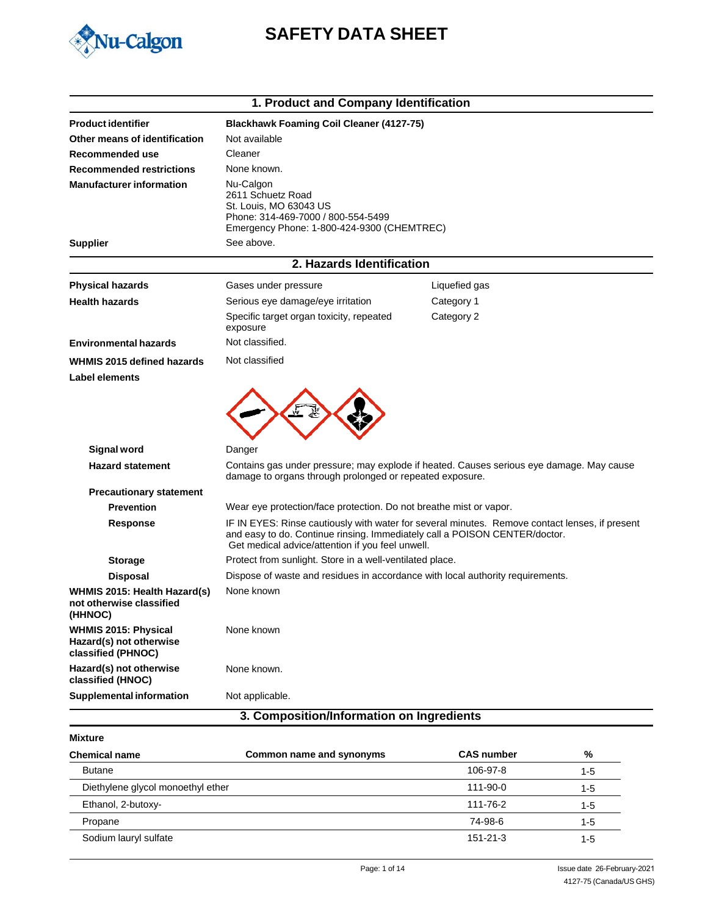

# **SAFETY DATA SHEET**

| <b>Product identifier</b><br>Not available<br>Other means of identification<br>Cleaner<br>Recommended use<br>None known.<br><b>Recommended restrictions</b> | <b>Blackhawk Foaming Coil Cleaner (4127-75)</b>                                                                                                                                                                                  |
|-------------------------------------------------------------------------------------------------------------------------------------------------------------|----------------------------------------------------------------------------------------------------------------------------------------------------------------------------------------------------------------------------------|
|                                                                                                                                                             |                                                                                                                                                                                                                                  |
|                                                                                                                                                             |                                                                                                                                                                                                                                  |
|                                                                                                                                                             |                                                                                                                                                                                                                                  |
|                                                                                                                                                             |                                                                                                                                                                                                                                  |
| <b>Manufacturer information</b><br>Nu-Calgon<br>2611 Schuetz Road<br>St. Louis, MO 63043 US                                                                 | Phone: 314-469-7000 / 800-554-5499<br>Emergency Phone: 1-800-424-9300 (CHEMTREC)                                                                                                                                                 |
| See above.<br><b>Supplier</b>                                                                                                                               |                                                                                                                                                                                                                                  |
|                                                                                                                                                             | 2. Hazards Identification                                                                                                                                                                                                        |
| <b>Physical hazards</b><br>Gases under pressure                                                                                                             | Liquefied gas                                                                                                                                                                                                                    |
| <b>Health hazards</b><br>Serious eye damage/eye irritation                                                                                                  | Category 1                                                                                                                                                                                                                       |
| exposure                                                                                                                                                    | Specific target organ toxicity, repeated<br>Category 2                                                                                                                                                                           |
| Not classified.<br><b>Environmental hazards</b>                                                                                                             |                                                                                                                                                                                                                                  |
| Not classified<br>WHMIS 2015 defined hazards                                                                                                                |                                                                                                                                                                                                                                  |
|                                                                                                                                                             |                                                                                                                                                                                                                                  |
| <b>Signal word</b><br>Danger                                                                                                                                |                                                                                                                                                                                                                                  |
| <b>Hazard statement</b>                                                                                                                                     | Contains gas under pressure; may explode if heated. Causes serious eye damage. May cause<br>damage to organs through prolonged or repeated exposure.                                                                             |
| <b>Precautionary statement</b>                                                                                                                              |                                                                                                                                                                                                                                  |
| <b>Prevention</b>                                                                                                                                           | Wear eye protection/face protection. Do not breathe mist or vapor.                                                                                                                                                               |
| Response                                                                                                                                                    | IF IN EYES: Rinse cautiously with water for several minutes. Remove contact lenses, if present<br>and easy to do. Continue rinsing. Immediately call a POISON CENTER/doctor.<br>Get medical advice/attention if you feel unwell. |
| <b>Storage</b>                                                                                                                                              | Protect from sunlight. Store in a well-ventilated place.                                                                                                                                                                         |
| <b>Disposal</b>                                                                                                                                             | Dispose of waste and residues in accordance with local authority requirements.                                                                                                                                                   |
| None known<br>WHMIS 2015: Health Hazard(s)<br>not otherwise classified<br>(HHNOC)                                                                           |                                                                                                                                                                                                                                  |
| <b>WHMIS 2015: Physical</b><br>None known<br>Hazard(s) not otherwise<br>classified (PHNOC)                                                                  |                                                                                                                                                                                                                                  |
| Hazard(s) not otherwise<br>None known.<br>classified (HNOC)                                                                                                 |                                                                                                                                                                                                                                  |
| <b>Supplemental information</b><br>Not applicable.                                                                                                          |                                                                                                                                                                                                                                  |
|                                                                                                                                                             | 3. Composition/Information on Ingredients                                                                                                                                                                                        |

| Mixture |
|---------|
|---------|

| <b>Chemical name</b>              | Common name and synonyms | <b>CAS number</b> | %       |
|-----------------------------------|--------------------------|-------------------|---------|
| <b>Butane</b>                     |                          | 106-97-8          | $1 - 5$ |
| Diethylene glycol monoethyl ether |                          | 111-90-0          | $1 - 5$ |
| Ethanol, 2-butoxy-                |                          | 111-76-2          | $1 - 5$ |
| Propane                           |                          | 74-98-6           | $1 - 5$ |
| Sodium lauryl sulfate             |                          | $151 - 21 - 3$    | $1 - 5$ |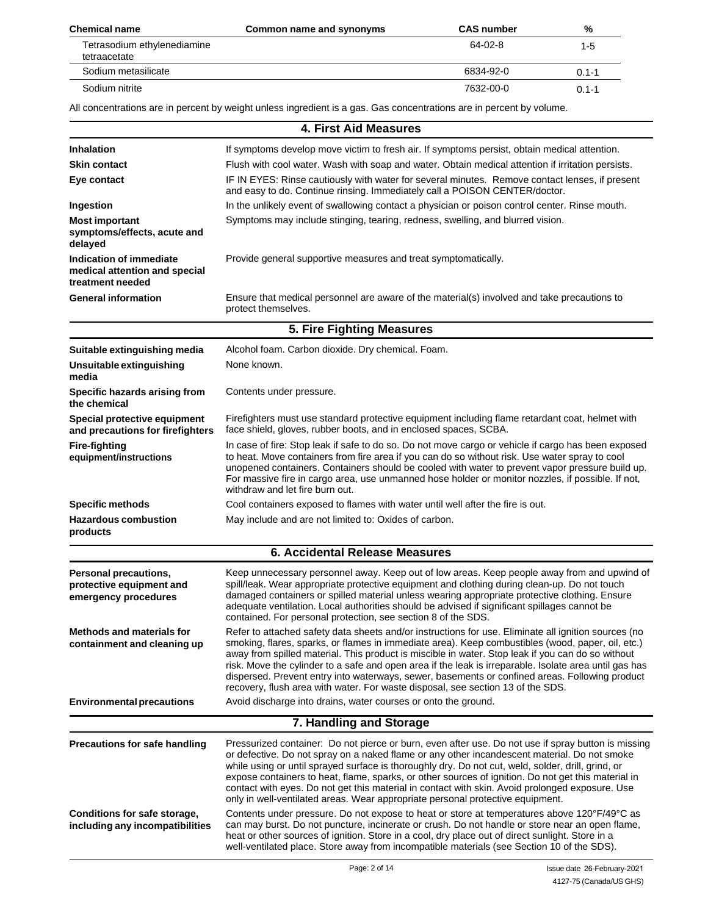| <b>Chemical name</b>                        | Common name and synonyms | <b>CAS number</b> | %         |
|---------------------------------------------|--------------------------|-------------------|-----------|
| Tetrasodium ethylenediamine<br>tetraacetate |                          | 64-02-8           | 1-5       |
| Sodium metasilicate                         |                          | 6834-92-0         | $0.1 - 1$ |
| Sodium nitrite                              |                          | 7632-00-0         | $0.1 - 1$ |

All concentrations are in percent by weight unless ingredient is a gas. Gas concentrations are in percent by volume.

#### **4. First Aid Measures** If symptoms develop move victim to fresh air. If symptoms persist, obtain medical attention. Flush with cool water. Wash with soap and water. Obtain medical attention if irritation persists. IF IN EYES: Rinse cautiously with water for several minutes. Remove contact lenses, if present and easy to do. Continue rinsing. Immediately call a POISON CENTER/doctor. In the unlikely event of swallowing contact a physician or poison control center. Rinse mouth. Symptoms may include stinging, tearing, redness, swelling, and blurred vision. **Inhalation Skin contact Eye contact Ingestion Most important symptoms/effects, acute and delayed Indication of immediate medical attention and special treatment needed General information** Provide general supportive measures and treat symptomatically. Ensure that medical personnel are aware of the material(s) involved and take precautions to protect themselves. **5. Fire Fighting Measures Suitable extinguishing media Unsuitable extinguishing media Specific hazards arising from the chemical Special protective equipment and precautions for firefighters Fire-fighting equipment/instructions** Alcohol foam. Carbon dioxide. Dry chemical. Foam. None known. Contents under pressure. Firefighters must use standard protective equipment including flame retardant coat, helmet with face shield, gloves, rubber boots, and in enclosed spaces, SCBA. In case of fire: Stop leak if safe to do so. Do not move cargo or vehicle if cargo has been exposed to heat. Move containers from fire area if you can do so without risk. Use water spray to cool unopened containers. Containers should be cooled with water to prevent vapor pressure build up. For massive fire in cargo area, use unmanned hose holder or monitor nozzles, if possible. If not, withdraw and let fire burn out. Cool containers exposed to flames with water until well after the fire is out. May include and are not limited to: Oxides of carbon. **Specific methods Hazardous combustion products 6. Accidental Release Measures** Keep unnecessary personnel away. Keep out of low areas. Keep people away from and upwind of spill/leak. Wear appropriate protective equipment and clothing during clean-up. Do not touch damaged containers or spilled material unless wearing appropriate protective clothing. Ensure adequate ventilation. Local authorities should be advised if significant spillages cannot be contained. For personal protection, see section 8 of the SDS. Refer to attached safety data sheets and/or instructions for use. Eliminate all ignition sources (no smoking, flares, sparks, or flames in immediate area). Keep combustibles (wood, paper, oil, etc.) away from spilled material. This product is miscible in water. Stop leak if you can do so without risk. Move the cylinder to a safe and open area if the leak is irreparable. Isolate area until gas has dispersed. Prevent entry into waterways, sewer, basements or confined areas. Following product recovery, flush area with water. For waste disposal, see section 13 of the SDS. Avoid discharge into drains, water courses or onto the ground. **Personal precautions, protective equipment and emergency procedures Methods and materials for containment and cleaning up Environmental precautions 7. Handling and Storage Precautions for safe handling** Pressurized container: Do not pierce or burn, even after use. Do not use if spray button is missing or defective. Do not spray on a naked flame or any other incandescent material. Do not smoke while using or until sprayed surface is thoroughly dry. Do not cut, weld, solder, drill, grind, or expose containers to heat, flame, sparks, or other sources of ignition. Do not get this material in contact with eyes. Do not get this material in contact with skin. Avoid prolonged exposure. Use only in well-ventilated areas. Wear appropriate personal protective equipment. Contents under pressure. Do not expose to heat or store at temperatures above 120°F/49°C as can may burst. Do not puncture, incinerate or crush. Do not handle or store near an open flame, heat or other sources of ignition. Store in a cool, dry place out of direct sunlight. Store in a well-ventilated place. Store away from incompatible materials (see Section 10 of the SDS). **Conditions for safe storage, including any incompatibilities**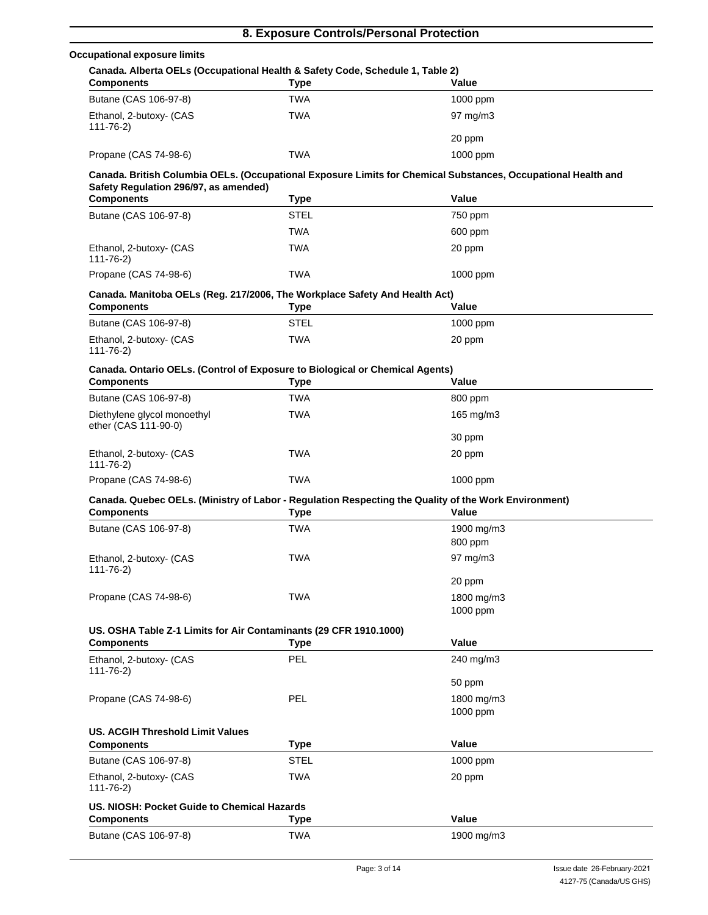|                                                                                                    | 8. Exposure Controls/Personal Protection |                                                                                                               |
|----------------------------------------------------------------------------------------------------|------------------------------------------|---------------------------------------------------------------------------------------------------------------|
| <b>Occupational exposure limits</b>                                                                |                                          |                                                                                                               |
| Canada. Alberta OELs (Occupational Health & Safety Code, Schedule 1, Table 2)<br><b>Components</b> | <b>Type</b>                              | Value                                                                                                         |
| Butane (CAS 106-97-8)                                                                              | <b>TWA</b>                               | 1000 ppm                                                                                                      |
| Ethanol, 2-butoxy- (CAS                                                                            | <b>TWA</b>                               | $97 \text{ mg/m}$ 3                                                                                           |
| 111-76-2)                                                                                          |                                          |                                                                                                               |
|                                                                                                    |                                          | 20 ppm                                                                                                        |
| Propane (CAS 74-98-6)                                                                              | <b>TWA</b>                               | 1000 ppm                                                                                                      |
|                                                                                                    |                                          | Canada. British Columbia OELs. (Occupational Exposure Limits for Chemical Substances, Occupational Health and |
| Safety Regulation 296/97, as amended)<br><b>Components</b>                                         | Type                                     | Value                                                                                                         |
| Butane (CAS 106-97-8)                                                                              | <b>STEL</b>                              | 750 ppm                                                                                                       |
|                                                                                                    | <b>TWA</b>                               | 600 ppm                                                                                                       |
| Ethanol, 2-butoxy- (CAS                                                                            | <b>TWA</b>                               | 20 ppm                                                                                                        |
| $111 - 76 - 2$                                                                                     |                                          |                                                                                                               |
| Propane (CAS 74-98-6)                                                                              | <b>TWA</b>                               | 1000 ppm                                                                                                      |
| Canada. Manitoba OELs (Reg. 217/2006, The Workplace Safety And Health Act)                         |                                          |                                                                                                               |
| <b>Components</b>                                                                                  | <b>Type</b>                              | Value                                                                                                         |
| Butane (CAS 106-97-8)                                                                              | <b>STEL</b>                              | 1000 ppm                                                                                                      |
| Ethanol, 2-butoxy- (CAS<br>$111 - 76 - 2$                                                          | <b>TWA</b>                               | 20 ppm                                                                                                        |
| Canada. Ontario OELs. (Control of Exposure to Biological or Chemical Agents)                       |                                          |                                                                                                               |
| <b>Components</b>                                                                                  | <b>Type</b>                              | Value                                                                                                         |
| Butane (CAS 106-97-8)                                                                              | <b>TWA</b>                               | 800 ppm                                                                                                       |
| Diethylene glycol monoethyl                                                                        | <b>TWA</b>                               | 165 mg/m3                                                                                                     |
| ether (CAS 111-90-0)                                                                               |                                          |                                                                                                               |
| Ethanol, 2-butoxy- (CAS                                                                            | <b>TWA</b>                               | 30 ppm                                                                                                        |
| $111 - 76 - 2$                                                                                     |                                          | 20 ppm                                                                                                        |
| Propane (CAS 74-98-6)                                                                              | <b>TWA</b>                               | 1000 ppm                                                                                                      |
|                                                                                                    |                                          | Canada. Quebec OELs. (Ministry of Labor - Regulation Respecting the Quality of the Work Environment)          |
| <b>Components</b>                                                                                  | <b>Type</b>                              | Value                                                                                                         |
| Butane (CAS 106-97-8)                                                                              | <b>TWA</b>                               | 1900 mg/m3                                                                                                    |
|                                                                                                    |                                          | 800 ppm                                                                                                       |
| Ethanol, 2-butoxy- (CAS<br>$111 - 76 - 2$                                                          | <b>TWA</b>                               | 97 mg/m3                                                                                                      |
|                                                                                                    |                                          | 20 ppm                                                                                                        |
| Propane (CAS 74-98-6)                                                                              | TWA                                      | 1800 mg/m3                                                                                                    |
|                                                                                                    |                                          | 1000 ppm                                                                                                      |
| US. OSHA Table Z-1 Limits for Air Contaminants (29 CFR 1910.1000)                                  |                                          |                                                                                                               |
| <b>Components</b>                                                                                  | <b>Type</b>                              | Value                                                                                                         |
| Ethanol, 2-butoxy- (CAS<br>$111 - 76 - 2$                                                          | <b>PEL</b>                               | 240 mg/m3                                                                                                     |
|                                                                                                    |                                          | 50 ppm                                                                                                        |
| Propane (CAS 74-98-6)                                                                              | PEL                                      | 1800 mg/m3                                                                                                    |
|                                                                                                    |                                          | 1000 ppm                                                                                                      |
| <b>US. ACGIH Threshold Limit Values</b>                                                            |                                          |                                                                                                               |
| <b>Components</b>                                                                                  | <b>Type</b>                              | Value                                                                                                         |
| Butane (CAS 106-97-8)                                                                              | <b>STEL</b>                              | 1000 ppm                                                                                                      |
| Ethanol, 2-butoxy- (CAS<br>$111 - 76 - 2$                                                          | <b>TWA</b>                               | 20 ppm                                                                                                        |
| US. NIOSH: Pocket Guide to Chemical Hazards                                                        |                                          |                                                                                                               |
| <b>Components</b>                                                                                  | <b>Type</b>                              | Value                                                                                                         |
| Butane (CAS 106-97-8)                                                                              | <b>TWA</b>                               | 1900 mg/m3                                                                                                    |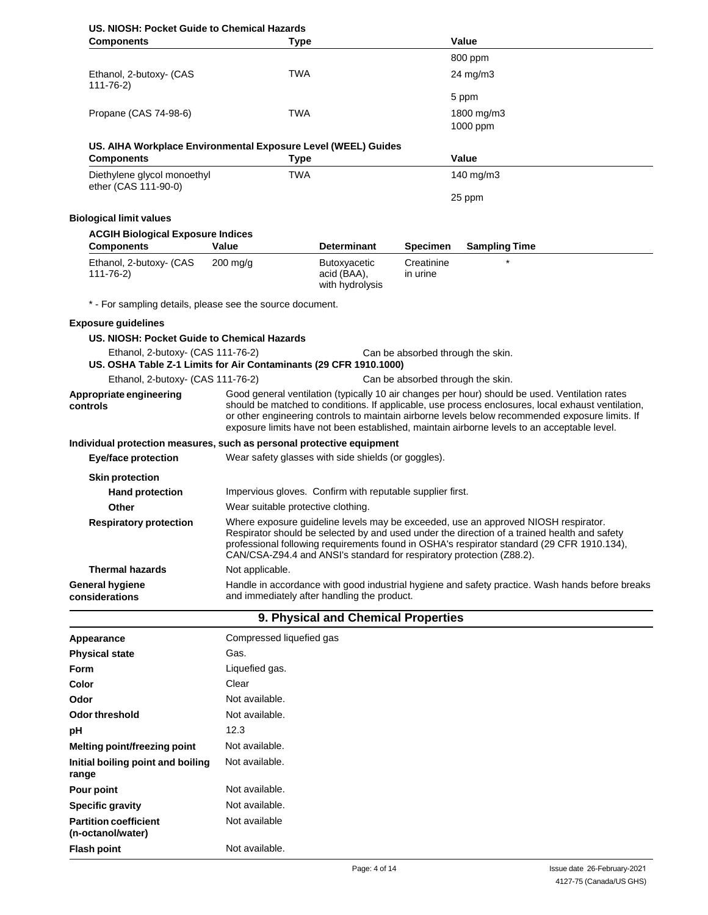| US, NIOSH: Pocket Guide to Chemical Hazards<br><b>Components</b>                   | Type                                                |                                                                                                                                                                                                                                                                                                                                                                                                        |                                   | Value                                                                                           |  |
|------------------------------------------------------------------------------------|-----------------------------------------------------|--------------------------------------------------------------------------------------------------------------------------------------------------------------------------------------------------------------------------------------------------------------------------------------------------------------------------------------------------------------------------------------------------------|-----------------------------------|-------------------------------------------------------------------------------------------------|--|
|                                                                                    |                                                     |                                                                                                                                                                                                                                                                                                                                                                                                        |                                   | 800 ppm                                                                                         |  |
| Ethanol, 2-butoxy- (CAS                                                            | <b>TWA</b>                                          |                                                                                                                                                                                                                                                                                                                                                                                                        |                                   | 24 mg/m3                                                                                        |  |
| $111 - 76 - 2$                                                                     |                                                     |                                                                                                                                                                                                                                                                                                                                                                                                        |                                   |                                                                                                 |  |
|                                                                                    |                                                     |                                                                                                                                                                                                                                                                                                                                                                                                        |                                   | 5 ppm                                                                                           |  |
| Propane (CAS 74-98-6)                                                              | <b>TWA</b>                                          |                                                                                                                                                                                                                                                                                                                                                                                                        |                                   | 1800 mg/m3                                                                                      |  |
|                                                                                    |                                                     |                                                                                                                                                                                                                                                                                                                                                                                                        |                                   | 1000 ppm                                                                                        |  |
| US. AIHA Workplace Environmental Exposure Level (WEEL) Guides<br><b>Components</b> | <b>Type</b>                                         |                                                                                                                                                                                                                                                                                                                                                                                                        |                                   | Value                                                                                           |  |
| Diethylene glycol monoethyl                                                        | <b>TWA</b>                                          |                                                                                                                                                                                                                                                                                                                                                                                                        |                                   | 140 mg/m3                                                                                       |  |
| ether (CAS 111-90-0)                                                               |                                                     |                                                                                                                                                                                                                                                                                                                                                                                                        |                                   | 25 ppm                                                                                          |  |
|                                                                                    |                                                     |                                                                                                                                                                                                                                                                                                                                                                                                        |                                   |                                                                                                 |  |
| <b>Biological limit values</b>                                                     |                                                     |                                                                                                                                                                                                                                                                                                                                                                                                        |                                   |                                                                                                 |  |
| <b>ACGIH Biological Exposure Indices</b><br><b>Components</b>                      | Value                                               | <b>Determinant</b>                                                                                                                                                                                                                                                                                                                                                                                     | <b>Specimen</b>                   | <b>Sampling Time</b>                                                                            |  |
| Ethanol, 2-butoxy- (CAS                                                            | $200$ mg/g                                          | Butoxyacetic                                                                                                                                                                                                                                                                                                                                                                                           | Creatinine                        |                                                                                                 |  |
| $111 - 76 - 2$                                                                     |                                                     | acid (BAA),<br>with hydrolysis                                                                                                                                                                                                                                                                                                                                                                         | in urine                          |                                                                                                 |  |
| * - For sampling details, please see the source document.                          |                                                     |                                                                                                                                                                                                                                                                                                                                                                                                        |                                   |                                                                                                 |  |
| <b>Exposure quidelines</b>                                                         |                                                     |                                                                                                                                                                                                                                                                                                                                                                                                        |                                   |                                                                                                 |  |
| US. NIOSH: Pocket Guide to Chemical Hazards                                        |                                                     |                                                                                                                                                                                                                                                                                                                                                                                                        |                                   |                                                                                                 |  |
| Ethanol, 2-butoxy- (CAS 111-76-2)                                                  |                                                     |                                                                                                                                                                                                                                                                                                                                                                                                        | Can be absorbed through the skin. |                                                                                                 |  |
| US. OSHA Table Z-1 Limits for Air Contaminants (29 CFR 1910.1000)                  |                                                     |                                                                                                                                                                                                                                                                                                                                                                                                        |                                   |                                                                                                 |  |
| Ethanol, 2-butoxy- (CAS 111-76-2)                                                  |                                                     |                                                                                                                                                                                                                                                                                                                                                                                                        | Can be absorbed through the skin. |                                                                                                 |  |
| Appropriate engineering<br>controls                                                |                                                     | Good general ventilation (typically 10 air changes per hour) should be used. Ventilation rates<br>should be matched to conditions. If applicable, use process enclosures, local exhaust ventilation,<br>or other engineering controls to maintain airborne levels below recommended exposure limits. If<br>exposure limits have not been established, maintain airborne levels to an acceptable level. |                                   |                                                                                                 |  |
| Individual protection measures, such as personal protective equipment              |                                                     |                                                                                                                                                                                                                                                                                                                                                                                                        |                                   |                                                                                                 |  |
| Eye/face protection                                                                | Wear safety glasses with side shields (or goggles). |                                                                                                                                                                                                                                                                                                                                                                                                        |                                   |                                                                                                 |  |
| <b>Skin protection</b>                                                             |                                                     |                                                                                                                                                                                                                                                                                                                                                                                                        |                                   |                                                                                                 |  |
| <b>Hand protection</b>                                                             |                                                     | Impervious gloves. Confirm with reputable supplier first.                                                                                                                                                                                                                                                                                                                                              |                                   |                                                                                                 |  |
| Other                                                                              | Wear suitable protective clothing.                  |                                                                                                                                                                                                                                                                                                                                                                                                        |                                   |                                                                                                 |  |
| <b>Respiratory protection</b>                                                      |                                                     | Where exposure guideline levels may be exceeded, use an approved NIOSH respirator.<br>Respirator should be selected by and used under the direction of a trained health and safety<br>professional following requirements found in OSHA's respirator standard (29 CFR 1910.134),<br>CAN/CSA-Z94.4 and ANSI's standard for respiratory protection (Z88.2).                                              |                                   |                                                                                                 |  |
| <b>Thermal hazards</b>                                                             | Not applicable.                                     |                                                                                                                                                                                                                                                                                                                                                                                                        |                                   |                                                                                                 |  |
| <b>General hygiene</b><br>considerations                                           |                                                     | and immediately after handling the product.                                                                                                                                                                                                                                                                                                                                                            |                                   | Handle in accordance with good industrial hygiene and safety practice. Wash hands before breaks |  |
|                                                                                    |                                                     | 9. Physical and Chemical Properties                                                                                                                                                                                                                                                                                                                                                                    |                                   |                                                                                                 |  |
| Appearance                                                                         | Compressed liquefied gas                            |                                                                                                                                                                                                                                                                                                                                                                                                        |                                   |                                                                                                 |  |
| <b>Physical state</b>                                                              | Gas.                                                |                                                                                                                                                                                                                                                                                                                                                                                                        |                                   |                                                                                                 |  |
| Form                                                                               | Liquefied gas.                                      |                                                                                                                                                                                                                                                                                                                                                                                                        |                                   |                                                                                                 |  |
| Color                                                                              | Clear                                               |                                                                                                                                                                                                                                                                                                                                                                                                        |                                   |                                                                                                 |  |
| Odor                                                                               | Not available.                                      |                                                                                                                                                                                                                                                                                                                                                                                                        |                                   |                                                                                                 |  |
| Odor threshold                                                                     | Not available.                                      |                                                                                                                                                                                                                                                                                                                                                                                                        |                                   |                                                                                                 |  |

12.3

**pH**

**range Pour point Specific gravity Partition coefficient (n-octanol/water) Flash point**

**Melting point/freezing point Initial boiling point and boiling** Not available. Not available.

Not available. Not available. Not available

Not available.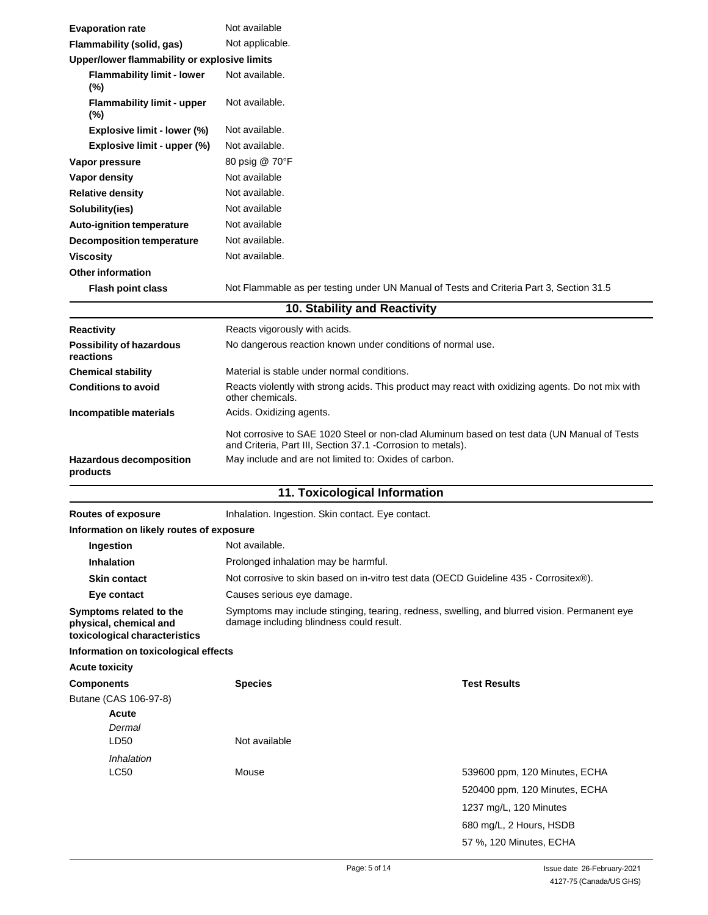| <b>Evaporation rate</b>                                                            | Not available                                                                                                                                               |
|------------------------------------------------------------------------------------|-------------------------------------------------------------------------------------------------------------------------------------------------------------|
| Flammability (solid, gas)                                                          | Not applicable.                                                                                                                                             |
| Upper/lower flammability or explosive limits                                       |                                                                                                                                                             |
| <b>Flammability limit - lower</b><br>$(\%)$                                        | Not available.                                                                                                                                              |
| <b>Flammability limit - upper</b><br>$(\%)$                                        | Not available.                                                                                                                                              |
| Explosive limit - lower (%)                                                        | Not available.                                                                                                                                              |
| Explosive limit - upper (%)                                                        | Not available.                                                                                                                                              |
| Vapor pressure                                                                     | 80 psig @ 70°F                                                                                                                                              |
| Vapor density                                                                      | Not available                                                                                                                                               |
| <b>Relative density</b>                                                            | Not available.                                                                                                                                              |
| Solubility(ies)                                                                    | Not available                                                                                                                                               |
| <b>Auto-ignition temperature</b>                                                   | Not available                                                                                                                                               |
| <b>Decomposition temperature</b>                                                   | Not available.                                                                                                                                              |
| <b>Viscosity</b>                                                                   | Not available.                                                                                                                                              |
| <b>Other information</b>                                                           |                                                                                                                                                             |
| <b>Flash point class</b>                                                           | Not Flammable as per testing under UN Manual of Tests and Criteria Part 3, Section 31.5                                                                     |
|                                                                                    | 10. Stability and Reactivity                                                                                                                                |
| <b>Reactivity</b>                                                                  | Reacts vigorously with acids.                                                                                                                               |
| <b>Possibility of hazardous</b><br>reactions                                       | No dangerous reaction known under conditions of normal use.                                                                                                 |
| <b>Chemical stability</b>                                                          | Material is stable under normal conditions.                                                                                                                 |
| <b>Conditions to avoid</b>                                                         | Reacts violently with strong acids. This product may react with oxidizing agents. Do not mix with<br>other chemicals.                                       |
| Incompatible materials                                                             | Acids. Oxidizing agents.                                                                                                                                    |
|                                                                                    | Not corrosive to SAE 1020 Steel or non-clad Aluminum based on test data (UN Manual of Tests<br>and Criteria, Part III, Section 37.1 - Corrosion to metals). |
| Hazardous decomposition<br>products                                                | May include and are not limited to: Oxides of carbon.                                                                                                       |
|                                                                                    | 11. Toxicological Information                                                                                                                               |
| Routes of exposure                                                                 | Inhalation. Ingestion. Skin contact. Eye contact.                                                                                                           |
| Information on likely routes of exposure                                           |                                                                                                                                                             |
| Ingestion                                                                          | Not available.                                                                                                                                              |
| <b>Inhalation</b>                                                                  | Prolonged inhalation may be harmful.                                                                                                                        |
| <b>Skin contact</b>                                                                | Not corrosive to skin based on in-vitro test data (OECD Guideline 435 - Corrositex®).                                                                       |
| Eye contact                                                                        | Causes serious eye damage.                                                                                                                                  |
| Symptoms related to the<br>physical, chemical and<br>toxicological characteristics | Symptoms may include stinging, tearing, redness, swelling, and blurred vision. Permanent eye<br>damage including blindness could result.                    |
| Information on toxicological effects                                               |                                                                                                                                                             |
| <b>Acute toxicity</b>                                                              |                                                                                                                                                             |
| <b>Components</b>                                                                  | <b>Test Results</b><br><b>Species</b>                                                                                                                       |
| Butane (CAS 106-97-8)                                                              |                                                                                                                                                             |
| Acute<br>Dermal                                                                    |                                                                                                                                                             |

Mouse 539600 ppm, 120 Minutes, ECHA 520400 ppm, 120 Minutes, ECHA 1237 mg/L, 120 Minutes 680 mg/L, 2 Hours, HSDB 57 %, 120 Minutes, ECHA

Not available

LD50 *Inhalation* LC50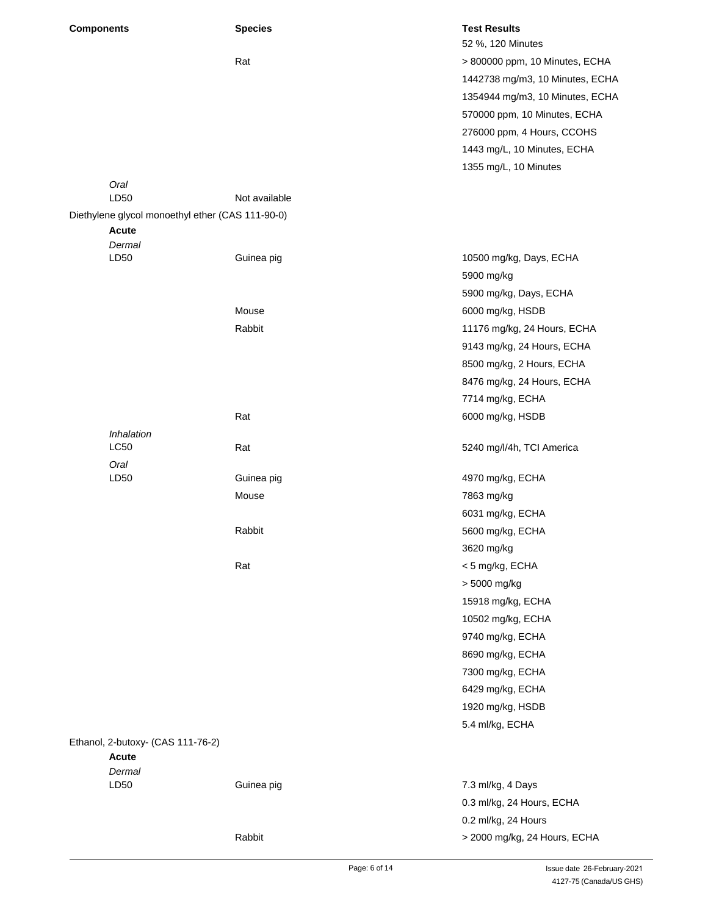| <b>Components</b> |                                                  | <b>Species</b> | <b>Test Results</b>             |
|-------------------|--------------------------------------------------|----------------|---------------------------------|
|                   |                                                  |                | 52 %, 120 Minutes               |
|                   |                                                  | Rat            | > 800000 ppm, 10 Minutes, ECHA  |
|                   |                                                  |                | 1442738 mg/m3, 10 Minutes, ECHA |
|                   |                                                  |                | 1354944 mg/m3, 10 Minutes, ECHA |
|                   |                                                  |                | 570000 ppm, 10 Minutes, ECHA    |
|                   |                                                  |                | 276000 ppm, 4 Hours, CCOHS      |
|                   |                                                  |                | 1443 mg/L, 10 Minutes, ECHA     |
|                   |                                                  |                | 1355 mg/L, 10 Minutes           |
|                   | Oral                                             |                |                                 |
|                   | LD50                                             | Not available  |                                 |
|                   | Diethylene glycol monoethyl ether (CAS 111-90-0) |                |                                 |
|                   | <b>Acute</b>                                     |                |                                 |
|                   | Dermal<br>LD50                                   | Guinea pig     | 10500 mg/kg, Days, ECHA         |
|                   |                                                  |                | 5900 mg/kg                      |
|                   |                                                  |                |                                 |
|                   |                                                  |                | 5900 mg/kg, Days, ECHA          |
|                   |                                                  | Mouse          | 6000 mg/kg, HSDB                |
|                   |                                                  | Rabbit         | 11176 mg/kg, 24 Hours, ECHA     |
|                   |                                                  |                | 9143 mg/kg, 24 Hours, ECHA      |
|                   |                                                  |                | 8500 mg/kg, 2 Hours, ECHA       |
|                   |                                                  |                | 8476 mg/kg, 24 Hours, ECHA      |
|                   |                                                  |                | 7714 mg/kg, ECHA                |
|                   |                                                  | Rat            | 6000 mg/kg, HSDB                |
|                   | Inhalation                                       |                |                                 |
|                   | LC50                                             | Rat            | 5240 mg/l/4h, TCI America       |
|                   | Oral                                             |                |                                 |
|                   | LD50                                             | Guinea pig     | 4970 mg/kg, ECHA                |
|                   |                                                  | Mouse          | 7863 mg/kg                      |
|                   |                                                  |                | 6031 mg/kg, ECHA                |
|                   |                                                  | Rabbit         | 5600 mg/kg, ECHA                |
|                   |                                                  |                | 3620 mg/kg                      |
|                   |                                                  | Rat            | < 5 mg/kg, ECHA                 |
|                   |                                                  |                | > 5000 mg/kg                    |
|                   |                                                  |                | 15918 mg/kg, ECHA               |
|                   |                                                  |                | 10502 mg/kg, ECHA               |
|                   |                                                  |                | 9740 mg/kg, ECHA                |
|                   |                                                  |                | 8690 mg/kg, ECHA                |
|                   |                                                  |                | 7300 mg/kg, ECHA                |
|                   |                                                  |                | 6429 mg/kg, ECHA                |
|                   |                                                  |                | 1920 mg/kg, HSDB                |
|                   |                                                  |                | 5.4 ml/kg, ECHA                 |
|                   | Ethanol, 2-butoxy- (CAS 111-76-2)                |                |                                 |
|                   | <b>Acute</b>                                     |                |                                 |
|                   | Dermal                                           |                |                                 |
|                   | LD50                                             | Guinea pig     | 7.3 ml/kg, 4 Days               |
|                   |                                                  |                | 0.3 ml/kg, 24 Hours, ECHA       |
|                   |                                                  |                | 0.2 ml/kg, 24 Hours             |
|                   |                                                  | Rabbit         | > 2000 mg/kg, 24 Hours, ECHA    |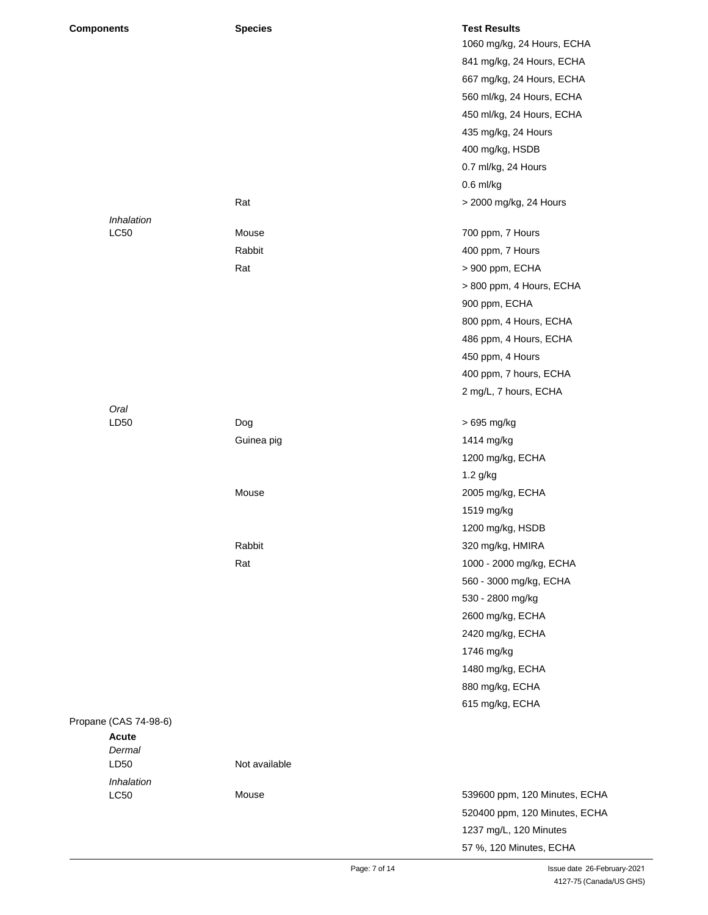| <b>Components</b>     | <b>Species</b> | <b>Test Results</b><br>1060 mg/kg, 24 Hours, ECHA |
|-----------------------|----------------|---------------------------------------------------|
|                       |                | 841 mg/kg, 24 Hours, ECHA                         |
|                       |                |                                                   |
|                       |                | 667 mg/kg, 24 Hours, ECHA                         |
|                       |                | 560 ml/kg, 24 Hours, ECHA                         |
|                       |                | 450 ml/kg, 24 Hours, ECHA                         |
|                       |                | 435 mg/kg, 24 Hours                               |
|                       |                | 400 mg/kg, HSDB                                   |
|                       |                | 0.7 ml/kg, 24 Hours                               |
|                       |                | $0.6$ ml/kg                                       |
|                       | Rat            | > 2000 mg/kg, 24 Hours                            |
| Inhalation            |                |                                                   |
| <b>LC50</b>           | Mouse          | 700 ppm, 7 Hours                                  |
|                       | Rabbit         | 400 ppm, 7 Hours                                  |
|                       | Rat            | > 900 ppm, ECHA                                   |
|                       |                | > 800 ppm, 4 Hours, ECHA                          |
|                       |                | 900 ppm, ECHA                                     |
|                       |                | 800 ppm, 4 Hours, ECHA                            |
|                       |                | 486 ppm, 4 Hours, ECHA                            |
|                       |                | 450 ppm, 4 Hours                                  |
|                       |                | 400 ppm, 7 hours, ECHA                            |
|                       |                | 2 mg/L, 7 hours, ECHA                             |
| Oral                  |                |                                                   |
| LD50                  | Dog            | > 695 mg/kg                                       |
|                       | Guinea pig     | 1414 mg/kg                                        |
|                       |                | 1200 mg/kg, ECHA                                  |
|                       |                | 1.2 g/kg                                          |
|                       | Mouse          | 2005 mg/kg, ECHA                                  |
|                       |                | 1519 mg/kg                                        |
|                       |                | 1200 mg/kg, HSDB                                  |
|                       | Rabbit         | 320 mg/kg, HMIRA                                  |
|                       | Rat            | 1000 - 2000 mg/kg, ECHA                           |
|                       |                | 560 - 3000 mg/kg, ECHA                            |
|                       |                | 530 - 2800 mg/kg                                  |
|                       |                | 2600 mg/kg, ECHA                                  |
|                       |                | 2420 mg/kg, ECHA                                  |
|                       |                | 1746 mg/kg                                        |
|                       |                | 1480 mg/kg, ECHA                                  |
|                       |                | 880 mg/kg, ECHA                                   |
|                       |                | 615 mg/kg, ECHA                                   |
| Propane (CAS 74-98-6) |                |                                                   |
| <b>Acute</b>          |                |                                                   |
| Dermal                |                |                                                   |
| LD50                  | Not available  |                                                   |
| Inhalation            |                |                                                   |
| LC50                  | Mouse          | 539600 ppm, 120 Minutes, ECHA                     |
|                       |                | 520400 ppm, 120 Minutes, ECHA                     |
|                       |                | 1237 mg/L, 120 Minutes                            |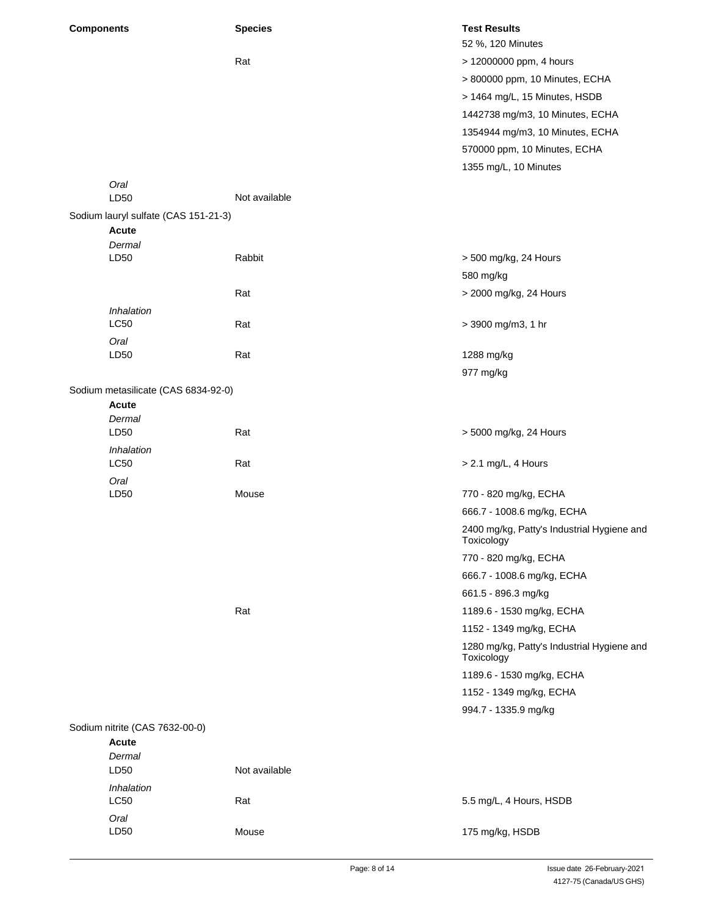| <b>Components</b> |                                      | <b>Species</b> | <b>Test Results</b><br>52 %, 120 Minutes                 |
|-------------------|--------------------------------------|----------------|----------------------------------------------------------|
|                   |                                      | Rat            | > 12000000 ppm, 4 hours                                  |
|                   |                                      |                |                                                          |
|                   |                                      |                | > 800000 ppm, 10 Minutes, ECHA                           |
|                   |                                      |                | > 1464 mg/L, 15 Minutes, HSDB                            |
|                   |                                      |                | 1442738 mg/m3, 10 Minutes, ECHA                          |
|                   |                                      |                | 1354944 mg/m3, 10 Minutes, ECHA                          |
|                   |                                      |                | 570000 ppm, 10 Minutes, ECHA                             |
|                   |                                      |                | 1355 mg/L, 10 Minutes                                    |
|                   | Oral<br>LD50                         | Not available  |                                                          |
|                   | Sodium lauryl sulfate (CAS 151-21-3) |                |                                                          |
|                   | Acute                                |                |                                                          |
|                   | Dermal                               |                |                                                          |
|                   | LD50                                 | Rabbit         | > 500 mg/kg, 24 Hours                                    |
|                   |                                      |                | 580 mg/kg                                                |
|                   |                                      | Rat            | > 2000 mg/kg, 24 Hours                                   |
|                   | Inhalation                           |                |                                                          |
|                   | <b>LC50</b>                          | Rat            | > 3900 mg/m3, 1 hr                                       |
|                   | Oral<br>LD50                         | Rat            | 1288 mg/kg                                               |
|                   |                                      |                | 977 mg/kg                                                |
|                   | Sodium metasilicate (CAS 6834-92-0)  |                |                                                          |
|                   | <b>Acute</b>                         |                |                                                          |
|                   | Dermal                               |                |                                                          |
|                   | LD50                                 | Rat            | > 5000 mg/kg, 24 Hours                                   |
|                   | Inhalation                           |                |                                                          |
|                   | LC50                                 | Rat            | > 2.1 mg/L, 4 Hours                                      |
|                   | Oral<br>LD50                         | Mouse          | 770 - 820 mg/kg, ECHA                                    |
|                   |                                      |                | 666.7 - 1008.6 mg/kg, ECHA                               |
|                   |                                      |                | 2400 mg/kg, Patty's Industrial Hygiene and<br>Toxicology |
|                   |                                      |                | 770 - 820 mg/kg, ECHA                                    |
|                   |                                      |                | 666.7 - 1008.6 mg/kg, ECHA                               |
|                   |                                      |                | 661.5 - 896.3 mg/kg                                      |
|                   |                                      | Rat            | 1189.6 - 1530 mg/kg, ECHA                                |
|                   |                                      |                | 1152 - 1349 mg/kg, ECHA                                  |
|                   |                                      |                | 1280 mg/kg, Patty's Industrial Hygiene and<br>Toxicology |
|                   |                                      |                | 1189.6 - 1530 mg/kg, ECHA                                |
|                   |                                      |                | 1152 - 1349 mg/kg, ECHA                                  |
|                   |                                      |                | 994.7 - 1335.9 mg/kg                                     |
|                   | Sodium nitrite (CAS 7632-00-0)       |                |                                                          |
|                   | Acute                                |                |                                                          |
|                   | Dermal<br>LD50                       | Not available  |                                                          |
|                   | Inhalation                           |                |                                                          |
|                   | <b>LC50</b>                          | Rat            | 5.5 mg/L, 4 Hours, HSDB                                  |
|                   | Oral                                 |                |                                                          |
|                   | LD50                                 | Mouse          | 175 mg/kg, HSDB                                          |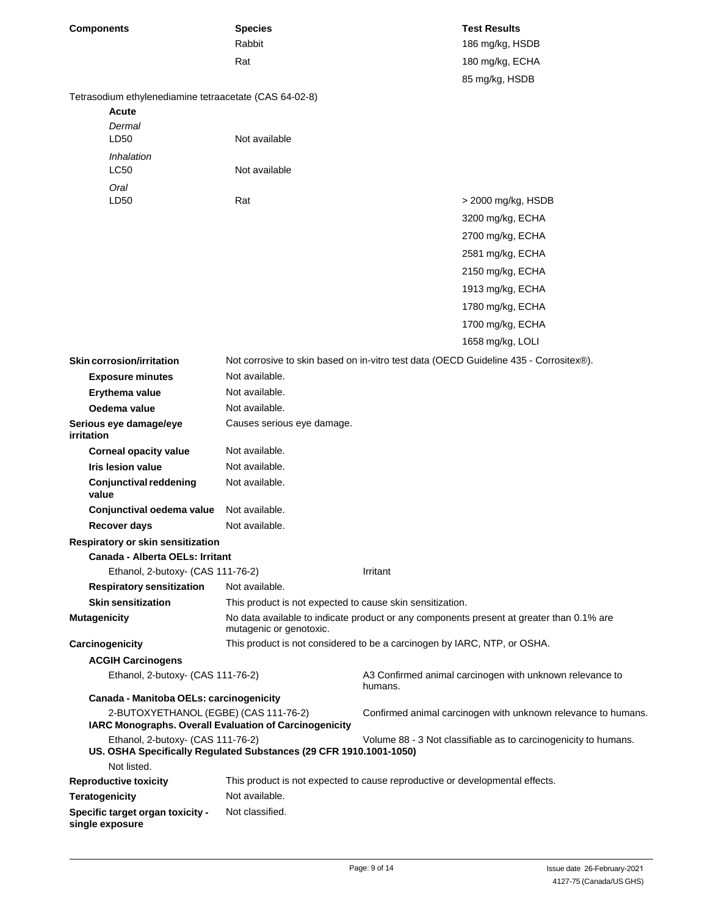| <b>Components</b>                                                      | <b>Species</b><br>Rabbit                                                             |          | <b>Test Results</b><br>186 mg/kg, HSDB                                                   |
|------------------------------------------------------------------------|--------------------------------------------------------------------------------------|----------|------------------------------------------------------------------------------------------|
|                                                                        | Rat                                                                                  |          | 180 mg/kg, ECHA                                                                          |
|                                                                        |                                                                                      |          | 85 mg/kg, HSDB                                                                           |
| Tetrasodium ethylenediamine tetraacetate (CAS 64-02-8)<br><b>Acute</b> |                                                                                      |          |                                                                                          |
| Dermal                                                                 |                                                                                      |          |                                                                                          |
| LD50                                                                   | Not available                                                                        |          |                                                                                          |
| Inhalation<br>LC50                                                     | Not available                                                                        |          |                                                                                          |
| Oral                                                                   |                                                                                      |          |                                                                                          |
| LD50                                                                   | Rat                                                                                  |          | > 2000 mg/kg, HSDB                                                                       |
|                                                                        |                                                                                      |          | 3200 mg/kg, ECHA                                                                         |
|                                                                        |                                                                                      |          | 2700 mg/kg, ECHA                                                                         |
|                                                                        |                                                                                      |          | 2581 mg/kg, ECHA                                                                         |
|                                                                        |                                                                                      |          | 2150 mg/kg, ECHA                                                                         |
|                                                                        |                                                                                      |          | 1913 mg/kg, ECHA                                                                         |
|                                                                        |                                                                                      |          | 1780 mg/kg, ECHA                                                                         |
|                                                                        |                                                                                      |          | 1700 mg/kg, ECHA                                                                         |
|                                                                        |                                                                                      |          | 1658 mg/kg, LOLI                                                                         |
| <b>Skin corrosion/irritation</b>                                       |                                                                                      |          | Not corrosive to skin based on in-vitro test data (OECD Guideline 435 - Corrositex®).    |
| <b>Exposure minutes</b>                                                | Not available.                                                                       |          |                                                                                          |
| Erythema value                                                         | Not available.                                                                       |          |                                                                                          |
| Oedema value                                                           | Not available.                                                                       |          |                                                                                          |
| Serious eye damage/eye                                                 | Causes serious eye damage.                                                           |          |                                                                                          |
| irritation                                                             |                                                                                      |          |                                                                                          |
| <b>Corneal opacity value</b>                                           | Not available.                                                                       |          |                                                                                          |
| <b>Iris lesion value</b>                                               | Not available.                                                                       |          |                                                                                          |
| <b>Conjunctival reddening</b><br>value                                 | Not available.                                                                       |          |                                                                                          |
| Conjunctival oedema value                                              | Not available.                                                                       |          |                                                                                          |
| <b>Recover days</b>                                                    | Not available.                                                                       |          |                                                                                          |
| Respiratory or skin sensitization                                      |                                                                                      |          |                                                                                          |
| Canada - Alberta OELs: Irritant                                        |                                                                                      |          |                                                                                          |
| Ethanol, 2-butoxy- (CAS 111-76-2)                                      | Not available.                                                                       | Irritant |                                                                                          |
| <b>Respiratory sensitization</b><br><b>Skin sensitization</b>          |                                                                                      |          |                                                                                          |
| <b>Mutagenicity</b>                                                    | This product is not expected to cause skin sensitization.<br>mutagenic or genotoxic. |          | No data available to indicate product or any components present at greater than 0.1% are |
| Carcinogenicity                                                        | This product is not considered to be a carcinogen by IARC, NTP, or OSHA.             |          |                                                                                          |
| <b>ACGIH Carcinogens</b>                                               |                                                                                      |          |                                                                                          |
| Ethanol, 2-butoxy- (CAS 111-76-2)                                      |                                                                                      | humans.  | A3 Confirmed animal carcinogen with unknown relevance to                                 |
| Canada - Manitoba OELs: carcinogenicity                                |                                                                                      |          |                                                                                          |
| 2-BUTOXYETHANOL (EGBE) (CAS 111-76-2)                                  | IARC Monographs. Overall Evaluation of Carcinogenicity                               |          | Confirmed animal carcinogen with unknown relevance to humans.                            |
| Ethanol, 2-butoxy- (CAS 111-76-2)                                      | US. OSHA Specifically Regulated Substances (29 CFR 1910.1001-1050)                   |          | Volume 88 - 3 Not classifiable as to carcinogenicity to humans.                          |
| Not listed.                                                            |                                                                                      |          |                                                                                          |
| <b>Reproductive toxicity</b>                                           | This product is not expected to cause reproductive or developmental effects.         |          |                                                                                          |
| <b>Teratogenicity</b>                                                  | Not available.                                                                       |          |                                                                                          |
| Specific target organ toxicity -<br>single exposure                    | Not classified.                                                                      |          |                                                                                          |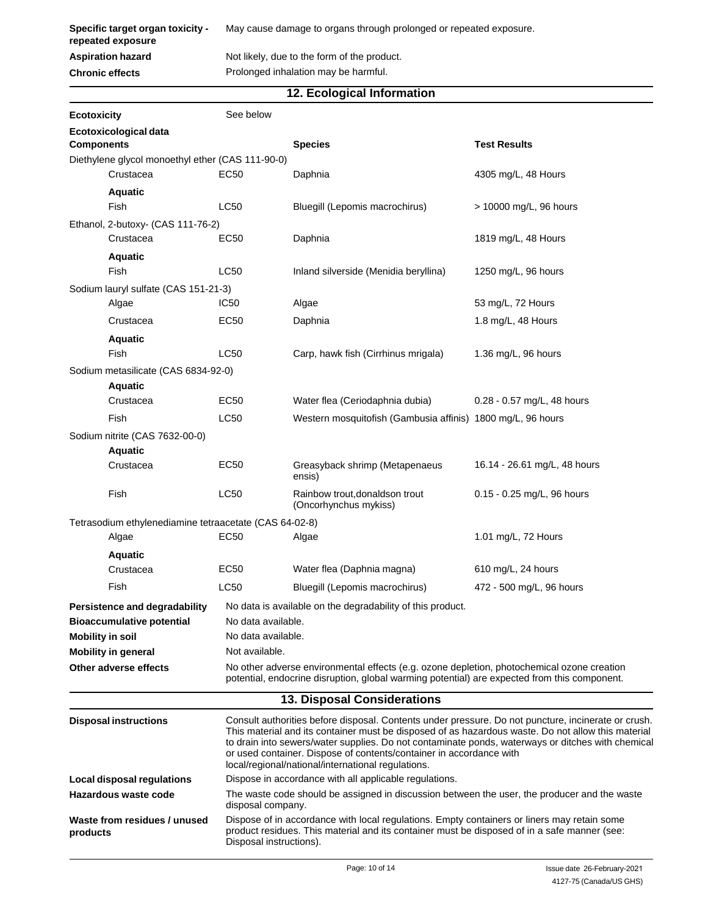**Specific target organ toxicity repeated exposure**

**Aspiration hazard**

**Chronic effects**

May cause damage to organs through prolonged or repeated exposure.

Not likely, due to the form of the product. Prolonged inhalation may be harmful.

### **12. Ecological Information**

| Ecotoxicity                                            | See below                                                                                                                                                                                                                                                                                                                                                                                                                                   |                                                                                                                                                                                             |                              |
|--------------------------------------------------------|---------------------------------------------------------------------------------------------------------------------------------------------------------------------------------------------------------------------------------------------------------------------------------------------------------------------------------------------------------------------------------------------------------------------------------------------|---------------------------------------------------------------------------------------------------------------------------------------------------------------------------------------------|------------------------------|
| Ecotoxicological data<br><b>Components</b>             |                                                                                                                                                                                                                                                                                                                                                                                                                                             | <b>Species</b>                                                                                                                                                                              | <b>Test Results</b>          |
| Diethylene glycol monoethyl ether (CAS 111-90-0)       |                                                                                                                                                                                                                                                                                                                                                                                                                                             |                                                                                                                                                                                             |                              |
| Crustacea                                              | <b>EC50</b>                                                                                                                                                                                                                                                                                                                                                                                                                                 | Daphnia                                                                                                                                                                                     | 4305 mg/L, 48 Hours          |
| <b>Aquatic</b>                                         |                                                                                                                                                                                                                                                                                                                                                                                                                                             |                                                                                                                                                                                             |                              |
| Fish                                                   | LC50                                                                                                                                                                                                                                                                                                                                                                                                                                        | Bluegill (Lepomis macrochirus)                                                                                                                                                              | > 10000 mg/L, 96 hours       |
| Ethanol, 2-butoxy- (CAS 111-76-2)                      |                                                                                                                                                                                                                                                                                                                                                                                                                                             |                                                                                                                                                                                             |                              |
| Crustacea                                              | EC50                                                                                                                                                                                                                                                                                                                                                                                                                                        | Daphnia                                                                                                                                                                                     | 1819 mg/L, 48 Hours          |
| <b>Aquatic</b>                                         |                                                                                                                                                                                                                                                                                                                                                                                                                                             |                                                                                                                                                                                             |                              |
| Fish                                                   | <b>LC50</b>                                                                                                                                                                                                                                                                                                                                                                                                                                 | Inland silverside (Menidia beryllina)                                                                                                                                                       | 1250 mg/L, 96 hours          |
| Sodium lauryl sulfate (CAS 151-21-3)                   |                                                                                                                                                                                                                                                                                                                                                                                                                                             |                                                                                                                                                                                             |                              |
| Algae                                                  | IC50                                                                                                                                                                                                                                                                                                                                                                                                                                        | Algae                                                                                                                                                                                       | 53 mg/L, 72 Hours            |
| Crustacea                                              | EC50                                                                                                                                                                                                                                                                                                                                                                                                                                        | Daphnia                                                                                                                                                                                     | 1.8 mg/L, 48 Hours           |
| <b>Aquatic</b>                                         |                                                                                                                                                                                                                                                                                                                                                                                                                                             |                                                                                                                                                                                             |                              |
| Fish                                                   | LC50                                                                                                                                                                                                                                                                                                                                                                                                                                        | Carp, hawk fish (Cirrhinus mrigala)                                                                                                                                                         | 1.36 mg/L, 96 hours          |
| Sodium metasilicate (CAS 6834-92-0)                    |                                                                                                                                                                                                                                                                                                                                                                                                                                             |                                                                                                                                                                                             |                              |
| <b>Aquatic</b>                                         |                                                                                                                                                                                                                                                                                                                                                                                                                                             |                                                                                                                                                                                             |                              |
| Crustacea                                              | EC50                                                                                                                                                                                                                                                                                                                                                                                                                                        | Water flea (Ceriodaphnia dubia)                                                                                                                                                             | 0.28 - 0.57 mg/L, 48 hours   |
| Fish                                                   | LC50                                                                                                                                                                                                                                                                                                                                                                                                                                        | Western mosquitofish (Gambusia affinis) 1800 mg/L, 96 hours                                                                                                                                 |                              |
| Sodium nitrite (CAS 7632-00-0)                         |                                                                                                                                                                                                                                                                                                                                                                                                                                             |                                                                                                                                                                                             |                              |
| <b>Aquatic</b>                                         |                                                                                                                                                                                                                                                                                                                                                                                                                                             |                                                                                                                                                                                             |                              |
| Crustacea                                              | <b>EC50</b>                                                                                                                                                                                                                                                                                                                                                                                                                                 | Greasyback shrimp (Metapenaeus<br>ensis)                                                                                                                                                    | 16.14 - 26.61 mg/L, 48 hours |
| Fish                                                   | <b>LC50</b>                                                                                                                                                                                                                                                                                                                                                                                                                                 | Rainbow trout, donaldson trout<br>(Oncorhynchus mykiss)                                                                                                                                     | 0.15 - 0.25 mg/L, 96 hours   |
| Tetrasodium ethylenediamine tetraacetate (CAS 64-02-8) |                                                                                                                                                                                                                                                                                                                                                                                                                                             |                                                                                                                                                                                             |                              |
| Algae                                                  | <b>EC50</b>                                                                                                                                                                                                                                                                                                                                                                                                                                 | Algae                                                                                                                                                                                       | 1.01 mg/L, 72 Hours          |
| <b>Aquatic</b>                                         |                                                                                                                                                                                                                                                                                                                                                                                                                                             |                                                                                                                                                                                             |                              |
| Crustacea                                              | EC50                                                                                                                                                                                                                                                                                                                                                                                                                                        | Water flea (Daphnia magna)                                                                                                                                                                  | 610 mg/L, 24 hours           |
| Fish                                                   | <b>LC50</b>                                                                                                                                                                                                                                                                                                                                                                                                                                 | Bluegill (Lepomis macrochirus)                                                                                                                                                              | 472 - 500 mg/L, 96 hours     |
| Persistence and degradability                          |                                                                                                                                                                                                                                                                                                                                                                                                                                             | No data is available on the degradability of this product.                                                                                                                                  |                              |
| <b>Bioaccumulative potential</b>                       | No data available.                                                                                                                                                                                                                                                                                                                                                                                                                          |                                                                                                                                                                                             |                              |
| <b>Mobility in soil</b>                                | No data available.                                                                                                                                                                                                                                                                                                                                                                                                                          |                                                                                                                                                                                             |                              |
| <b>Mobility in general</b>                             | Not available.                                                                                                                                                                                                                                                                                                                                                                                                                              |                                                                                                                                                                                             |                              |
| Other adverse effects                                  |                                                                                                                                                                                                                                                                                                                                                                                                                                             | No other adverse environmental effects (e.g. ozone depletion, photochemical ozone creation<br>potential, endocrine disruption, global warming potential) are expected from this component.  |                              |
|                                                        |                                                                                                                                                                                                                                                                                                                                                                                                                                             | <b>13. Disposal Considerations</b>                                                                                                                                                          |                              |
| <b>Disposal instructions</b>                           |                                                                                                                                                                                                                                                                                                                                                                                                                                             |                                                                                                                                                                                             |                              |
|                                                        | Consult authorities before disposal. Contents under pressure. Do not puncture, incinerate or crush.<br>This material and its container must be disposed of as hazardous waste. Do not allow this material<br>to drain into sewers/water supplies. Do not contaminate ponds, waterways or ditches with chemical<br>or used container. Dispose of contents/container in accordance with<br>local/regional/national/international regulations. |                                                                                                                                                                                             |                              |
| Local disposal regulations                             | Dispose in accordance with all applicable regulations.                                                                                                                                                                                                                                                                                                                                                                                      |                                                                                                                                                                                             |                              |
| Hazardous waste code                                   | disposal company.                                                                                                                                                                                                                                                                                                                                                                                                                           | The waste code should be assigned in discussion between the user, the producer and the waste                                                                                                |                              |
| Waste from residues / unused<br>products               | Disposal instructions).                                                                                                                                                                                                                                                                                                                                                                                                                     | Dispose of in accordance with local regulations. Empty containers or liners may retain some<br>product residues. This material and its container must be disposed of in a safe manner (see: |                              |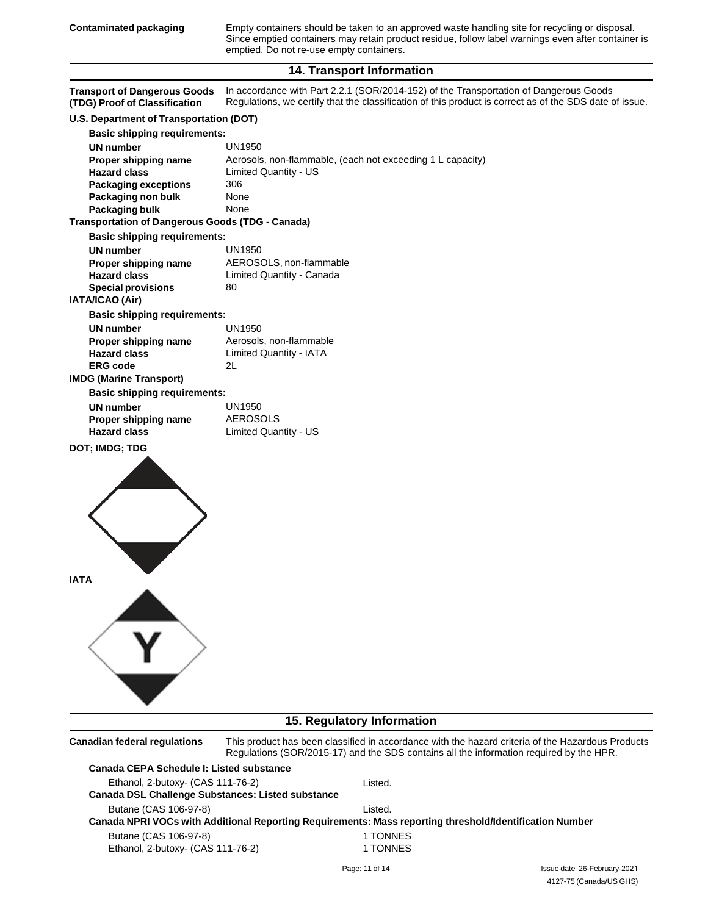Empty containers should be taken to an approved waste handling site for recycling or disposal. Since emptied containers may retain product residue, follow label warnings even after container is emptied. Do not re-use empty containers.

#### **14. Transport Information**

| <b>Transport of Dangerous Goods</b><br>(TDG) Proof of Classification                   | In accordance with Part 2.2.1 (SOR/2014-152) of the Transportation of Dangerous Goods<br>Regulations, we certify that the classification of this product is correct as of the SDS date of issue. |
|----------------------------------------------------------------------------------------|--------------------------------------------------------------------------------------------------------------------------------------------------------------------------------------------------|
| U.S. Department of Transportation (DOT)                                                |                                                                                                                                                                                                  |
| <b>Basic shipping requirements:</b>                                                    |                                                                                                                                                                                                  |
| <b>UN</b> number                                                                       | <b>UN1950</b>                                                                                                                                                                                    |
| Proper shipping name                                                                   | Aerosols, non-flammable, (each not exceeding 1 L capacity)                                                                                                                                       |
| <b>Hazard class</b>                                                                    | Limited Quantity - US                                                                                                                                                                            |
| <b>Packaging exceptions</b>                                                            | 306                                                                                                                                                                                              |
| Packaging non bulk                                                                     | None                                                                                                                                                                                             |
| Packaging bulk<br><b>Transportation of Dangerous Goods (TDG - Canada)</b>              | None                                                                                                                                                                                             |
|                                                                                        |                                                                                                                                                                                                  |
| <b>Basic shipping requirements:</b>                                                    | <b>UN1950</b>                                                                                                                                                                                    |
| <b>UN</b> number<br>Proper shipping name                                               | AEROSOLS, non-flammable                                                                                                                                                                          |
| <b>Hazard class</b>                                                                    | Limited Quantity - Canada                                                                                                                                                                        |
| <b>Special provisions</b>                                                              | 80                                                                                                                                                                                               |
| IATA/ICAO (Air)                                                                        |                                                                                                                                                                                                  |
| <b>Basic shipping requirements:</b>                                                    |                                                                                                                                                                                                  |
| <b>UN number</b>                                                                       | <b>UN1950</b>                                                                                                                                                                                    |
| Proper shipping name                                                                   | Aerosols, non-flammable                                                                                                                                                                          |
| <b>Hazard class</b>                                                                    | <b>Limited Quantity - IATA</b>                                                                                                                                                                   |
| <b>ERG code</b>                                                                        | 2L                                                                                                                                                                                               |
| <b>IMDG (Marine Transport)</b>                                                         |                                                                                                                                                                                                  |
| <b>Basic shipping requirements:</b>                                                    |                                                                                                                                                                                                  |
| <b>UN</b> number                                                                       | <b>UN1950</b>                                                                                                                                                                                    |
| Proper shipping name                                                                   | <b>AEROSOLS</b>                                                                                                                                                                                  |
| <b>Hazard class</b>                                                                    | Limited Quantity - US                                                                                                                                                                            |
| <b>IATA</b>                                                                            | <b>15. Regulatory Information</b>                                                                                                                                                                |
|                                                                                        |                                                                                                                                                                                                  |
| <b>Canadian federal regulations</b>                                                    | This product has been classified in accordance with the hazard criteria of the Hazardous Products<br>Regulations (SOR/2015-17) and the SDS contains all the information required by the HPR.     |
| Canada CEPA Schedule I: Listed substance                                               |                                                                                                                                                                                                  |
| Ethanol, 2-butoxy- (CAS 111-76-2)<br>Canada DSL Challenge Substances: Listed substance | Listed.                                                                                                                                                                                          |
| Butane (CAS 106-97-8)                                                                  | Listed.                                                                                                                                                                                          |
|                                                                                        | Canada NPRI VOCs with Additional Reporting Requirements: Mass reporting threshold/Identification Number                                                                                          |
| Butane (CAS 106-97-8)                                                                  | 1 TONNES                                                                                                                                                                                         |

1 TONNES

Ethanol, 2-butoxy- (CAS 111-76-2)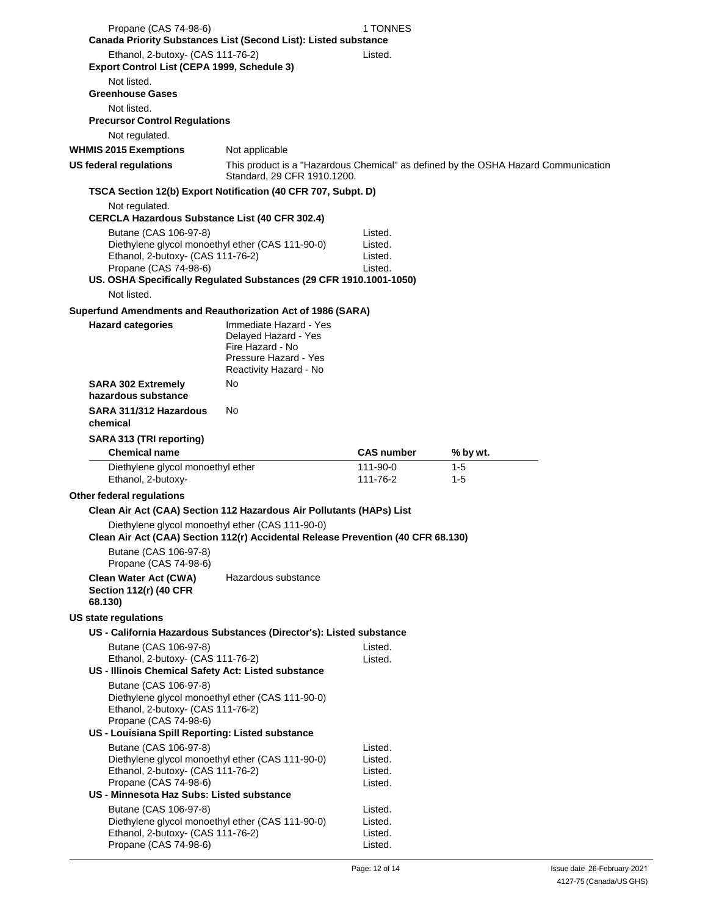| Propane (CAS 74-98-6)                                                                                                                   |                                                                                                                       | 1 TONNES                                 |                                                                                    |
|-----------------------------------------------------------------------------------------------------------------------------------------|-----------------------------------------------------------------------------------------------------------------------|------------------------------------------|------------------------------------------------------------------------------------|
|                                                                                                                                         | Canada Priority Substances List (Second List): Listed substance                                                       |                                          |                                                                                    |
| Ethanol, 2-butoxy- (CAS 111-76-2)<br>Export Control List (CEPA 1999, Schedule 3)                                                        |                                                                                                                       | Listed.                                  |                                                                                    |
| Not listed.<br><b>Greenhouse Gases</b>                                                                                                  |                                                                                                                       |                                          |                                                                                    |
| Not listed.<br><b>Precursor Control Regulations</b>                                                                                     |                                                                                                                       |                                          |                                                                                    |
| Not regulated.                                                                                                                          |                                                                                                                       |                                          |                                                                                    |
| <b>WHMIS 2015 Exemptions</b>                                                                                                            | Not applicable                                                                                                        |                                          |                                                                                    |
| <b>US federal requlations</b>                                                                                                           | Standard, 29 CFR 1910.1200.                                                                                           |                                          | This product is a "Hazardous Chemical" as defined by the OSHA Hazard Communication |
|                                                                                                                                         | TSCA Section 12(b) Export Notification (40 CFR 707, Subpt. D)                                                         |                                          |                                                                                    |
| Not regulated.<br><b>CERCLA Hazardous Substance List (40 CFR 302.4)</b>                                                                 |                                                                                                                       |                                          |                                                                                    |
| Butane (CAS 106-97-8)<br>Diethylene glycol monoethyl ether (CAS 111-90-0)<br>Ethanol, 2-butoxy- (CAS 111-76-2)<br>Propane (CAS 74-98-6) |                                                                                                                       | Listed.<br>Listed.<br>Listed.<br>Listed. |                                                                                    |
| Not listed.                                                                                                                             | US. OSHA Specifically Regulated Substances (29 CFR 1910.1001-1050)                                                    |                                          |                                                                                    |
|                                                                                                                                         | Superfund Amendments and Reauthorization Act of 1986 (SARA)                                                           |                                          |                                                                                    |
| <b>Hazard categories</b>                                                                                                                | Immediate Hazard - Yes<br>Delayed Hazard - Yes<br>Fire Hazard - No<br>Pressure Hazard - Yes<br>Reactivity Hazard - No |                                          |                                                                                    |
| <b>SARA 302 Extremely</b><br>hazardous substance                                                                                        | No                                                                                                                    |                                          |                                                                                    |
| SARA 311/312 Hazardous<br>chemical                                                                                                      | No                                                                                                                    |                                          |                                                                                    |
| SARA 313 (TRI reporting)                                                                                                                |                                                                                                                       |                                          |                                                                                    |
|                                                                                                                                         |                                                                                                                       |                                          |                                                                                    |
| <b>Chemical name</b>                                                                                                                    |                                                                                                                       | <b>CAS number</b>                        | % by wt.                                                                           |
| Diethylene glycol monoethyl ether<br>Ethanol, 2-butoxy-                                                                                 |                                                                                                                       | 111-90-0<br>111-76-2                     | $1 - 5$<br>$1 - 5$                                                                 |
| Other federal regulations                                                                                                               |                                                                                                                       |                                          |                                                                                    |
|                                                                                                                                         | Clean Air Act (CAA) Section 112 Hazardous Air Pollutants (HAPs) List                                                  |                                          |                                                                                    |
| Diethylene glycol monoethyl ether (CAS 111-90-0)                                                                                        | Clean Air Act (CAA) Section 112(r) Accidental Release Prevention (40 CFR 68.130)                                      |                                          |                                                                                    |
| Butane (CAS 106-97-8)<br>Propane (CAS 74-98-6)                                                                                          |                                                                                                                       |                                          |                                                                                    |
| <b>Clean Water Act (CWA)</b><br><b>Section 112(r) (40 CFR</b><br>68.130)                                                                | Hazardous substance                                                                                                   |                                          |                                                                                    |
| <b>US state regulations</b>                                                                                                             |                                                                                                                       |                                          |                                                                                    |
|                                                                                                                                         |                                                                                                                       |                                          |                                                                                    |
| Butane (CAS 106-97-8)<br>Ethanol, 2-butoxy- (CAS 111-76-2)                                                                              | US - California Hazardous Substances (Director's): Listed substance                                                   | Listed.<br>Listed.                       |                                                                                    |
| US - Illinois Chemical Safety Act: Listed substance                                                                                     |                                                                                                                       |                                          |                                                                                    |
| Butane (CAS 106-97-8)<br>Diethylene glycol monoethyl ether (CAS 111-90-0)<br>Ethanol, 2-butoxy- (CAS 111-76-2)<br>Propane (CAS 74-98-6) |                                                                                                                       |                                          |                                                                                    |
| US - Louisiana Spill Reporting: Listed substance                                                                                        |                                                                                                                       |                                          |                                                                                    |
| Butane (CAS 106-97-8)<br>Diethylene glycol monoethyl ether (CAS 111-90-0)<br>Ethanol, 2-butoxy- (CAS 111-76-2)                          |                                                                                                                       | Listed.<br>Listed.<br>Listed.            |                                                                                    |
| Propane (CAS 74-98-6)                                                                                                                   |                                                                                                                       | Listed.                                  |                                                                                    |
| US - Minnesota Haz Subs: Listed substance                                                                                               |                                                                                                                       |                                          |                                                                                    |
| Butane (CAS 106-97-8)<br>Diethylene glycol monoethyl ether (CAS 111-90-0)                                                               |                                                                                                                       | Listed.<br>Listed.                       |                                                                                    |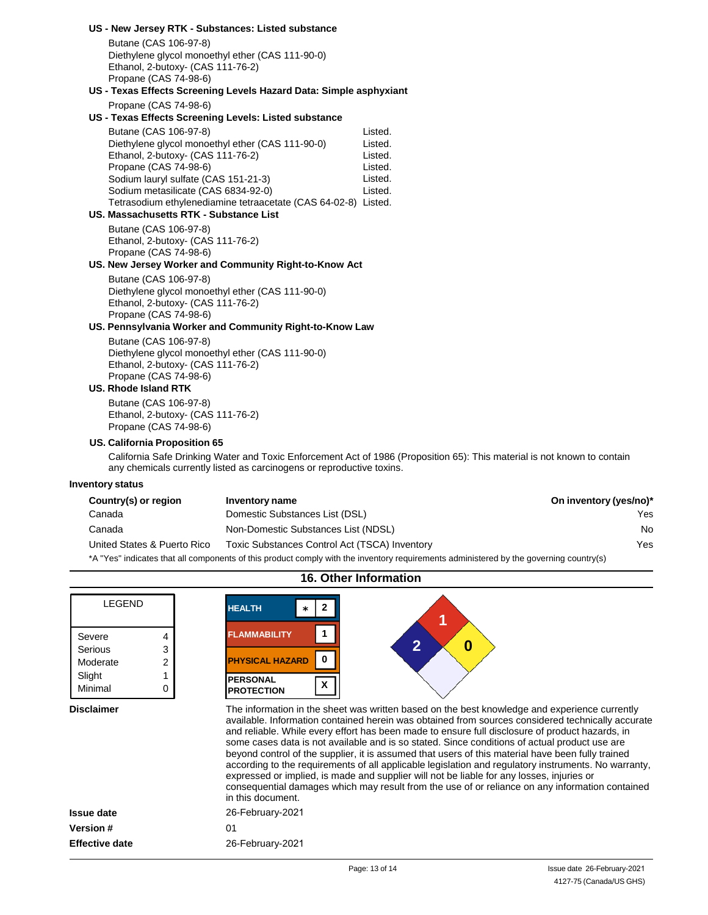|                                                            | US - New Jersey RTK - Substances: Listed substance                    |                                                                                                                          |                        |
|------------------------------------------------------------|-----------------------------------------------------------------------|--------------------------------------------------------------------------------------------------------------------------|------------------------|
| Butane (CAS 106-97-8)                                      |                                                                       |                                                                                                                          |                        |
| Ethanol, 2-butoxy- (CAS 111-76-2)                          | Diethylene glycol monoethyl ether (CAS 111-90-0)                      |                                                                                                                          |                        |
| Propane (CAS 74-98-6)                                      |                                                                       |                                                                                                                          |                        |
|                                                            | US - Texas Effects Screening Levels Hazard Data: Simple asphyxiant    |                                                                                                                          |                        |
| Propane (CAS 74-98-6)                                      |                                                                       |                                                                                                                          |                        |
|                                                            | US - Texas Effects Screening Levels: Listed substance                 |                                                                                                                          |                        |
| Butane (CAS 106-97-8)                                      |                                                                       | Listed.                                                                                                                  |                        |
|                                                            | Diethylene glycol monoethyl ether (CAS 111-90-0)                      | Listed.                                                                                                                  |                        |
| Ethanol, 2-butoxy- (CAS 111-76-2)                          |                                                                       | Listed.                                                                                                                  |                        |
| Propane (CAS 74-98-6)                                      |                                                                       | Listed.                                                                                                                  |                        |
| Sodium lauryl sulfate (CAS 151-21-3)                       |                                                                       | Listed.                                                                                                                  |                        |
| Sodium metasilicate (CAS 6834-92-0)                        |                                                                       | Listed.                                                                                                                  |                        |
|                                                            | Tetrasodium ethylenediamine tetraacetate (CAS 64-02-8) Listed.        |                                                                                                                          |                        |
| US. Massachusetts RTK - Substance List                     |                                                                       |                                                                                                                          |                        |
| Butane (CAS 106-97-8)                                      |                                                                       |                                                                                                                          |                        |
| Ethanol, 2-butoxy- (CAS 111-76-2)                          |                                                                       |                                                                                                                          |                        |
| Propane (CAS 74-98-6)                                      |                                                                       |                                                                                                                          |                        |
|                                                            | US. New Jersey Worker and Community Right-to-Know Act                 |                                                                                                                          |                        |
| Butane (CAS 106-97-8)                                      |                                                                       |                                                                                                                          |                        |
|                                                            | Diethylene glycol monoethyl ether (CAS 111-90-0)                      |                                                                                                                          |                        |
| Ethanol, 2-butoxy- (CAS 111-76-2)<br>Propane (CAS 74-98-6) |                                                                       |                                                                                                                          |                        |
|                                                            | US. Pennsylvania Worker and Community Right-to-Know Law               |                                                                                                                          |                        |
| Butane (CAS 106-97-8)                                      |                                                                       |                                                                                                                          |                        |
|                                                            | Diethylene glycol monoethyl ether (CAS 111-90-0)                      |                                                                                                                          |                        |
| Ethanol, 2-butoxy- (CAS 111-76-2)                          |                                                                       |                                                                                                                          |                        |
| Propane (CAS 74-98-6)                                      |                                                                       |                                                                                                                          |                        |
| US. Rhode Island RTK                                       |                                                                       |                                                                                                                          |                        |
| Butane (CAS 106-97-8)                                      |                                                                       |                                                                                                                          |                        |
| Ethanol, 2-butoxy- (CAS 111-76-2)                          |                                                                       |                                                                                                                          |                        |
| Propane (CAS 74-98-6)                                      |                                                                       |                                                                                                                          |                        |
| <b>US. California Proposition 65</b>                       |                                                                       |                                                                                                                          |                        |
|                                                            |                                                                       | California Safe Drinking Water and Toxic Enforcement Act of 1986 (Proposition 65): This material is not known to contain |                        |
|                                                            | any chemicals currently listed as carcinogens or reproductive toxins. |                                                                                                                          |                        |
| Inventory status                                           |                                                                       |                                                                                                                          |                        |
| Country(s) or region                                       | Inventory name                                                        |                                                                                                                          | On inventory (yes/no)* |
| Canada                                                     | Domestic Substances List (DSL)                                        |                                                                                                                          | Yes                    |
| Canada                                                     | Non-Domestic Substances List (NDSL)                                   |                                                                                                                          | No                     |

| Canada |
|--------|
|--------|

٦

ſ

| NON-DOMESTIC SUDSTANCES LIST (NDSL) |
|-------------------------------------|
|                                     |

United States & Puerto Rico Toxic Substances Control Act (TSCA) Inventory \*A "Yes" indicates that all components of this product comply with the inventory requirements administered by the governing country(s)

| <b>LEGEND</b>                                                          | <b>HEALTH</b>                                                                                                                                                                                                                                                                                                                                                                                                                                                                                                                                                                                                                                                                                                                                                                                                                            |
|------------------------------------------------------------------------|------------------------------------------------------------------------------------------------------------------------------------------------------------------------------------------------------------------------------------------------------------------------------------------------------------------------------------------------------------------------------------------------------------------------------------------------------------------------------------------------------------------------------------------------------------------------------------------------------------------------------------------------------------------------------------------------------------------------------------------------------------------------------------------------------------------------------------------|
| Severe<br>4<br>Serious<br>3<br>Moderate<br>2<br>Slight<br>Minimal<br>0 | <b>FLAMMABILITY</b><br>$\overline{2}$<br>0<br><b>PHYSICAL HAZARD</b><br><b>PERSONAL</b><br>x<br><b>PROTECTION</b>                                                                                                                                                                                                                                                                                                                                                                                                                                                                                                                                                                                                                                                                                                                        |
| <b>Disclaimer</b>                                                      | The information in the sheet was written based on the best knowledge and experience currently<br>available. Information contained herein was obtained from sources considered technically accurate<br>and reliable. While every effort has been made to ensure full disclosure of product hazards, in<br>some cases data is not available and is so stated. Since conditions of actual product use are<br>beyond control of the supplier, it is assumed that users of this material have been fully trained<br>according to the requirements of all applicable legislation and regulatory instruments. No warranty,<br>expressed or implied, is made and supplier will not be liable for any losses, injuries or<br>consequential damages which may result from the use of or reliance on any information contained<br>in this document. |
| <b>Issue date</b>                                                      | 26-February-2021                                                                                                                                                                                                                                                                                                                                                                                                                                                                                                                                                                                                                                                                                                                                                                                                                         |
| Version #                                                              | 01                                                                                                                                                                                                                                                                                                                                                                                                                                                                                                                                                                                                                                                                                                                                                                                                                                       |
| <b>Effective date</b>                                                  | 26-February-2021                                                                                                                                                                                                                                                                                                                                                                                                                                                                                                                                                                                                                                                                                                                                                                                                                         |
|                                                                        |                                                                                                                                                                                                                                                                                                                                                                                                                                                                                                                                                                                                                                                                                                                                                                                                                                          |

## **16. Other Information**

Yes